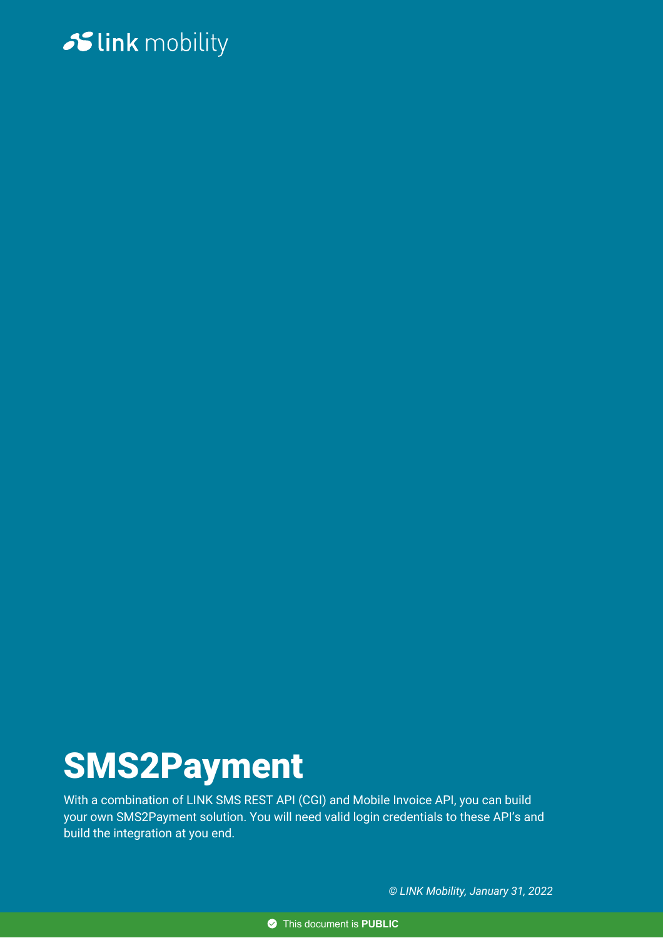# Slink mobility

# SMS2Payment

With a combination of LINK SMS REST API (CGI) and Mobile Invoice API, you can build your own SMS2Payment solution. You will need valid login credentials to these API's and build the integration at you end.

*© LINK Mobility, January 31, 2022*

This document is **PUBLIC**